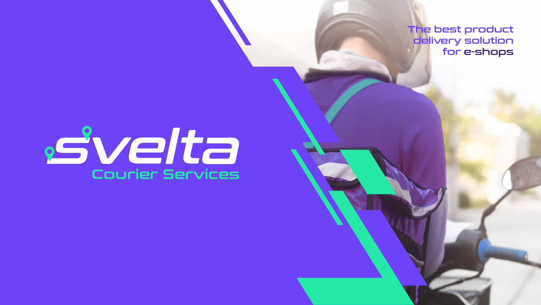

The best product delivery solution for e-shops

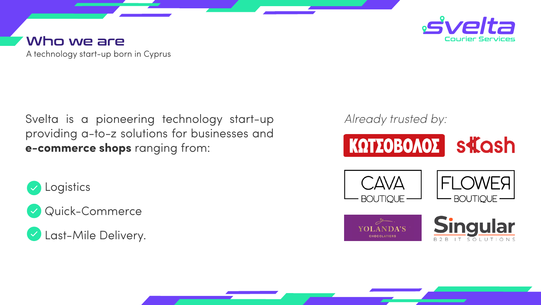A technology start-up born in Cyprus

#### Who we are

#### Svelta is a pioneering technology start-up providing a-to-z solutions for businesses and **e-commerce shops** ranging from:





Last-Mile Delivery.



#### *Already trusted by:*











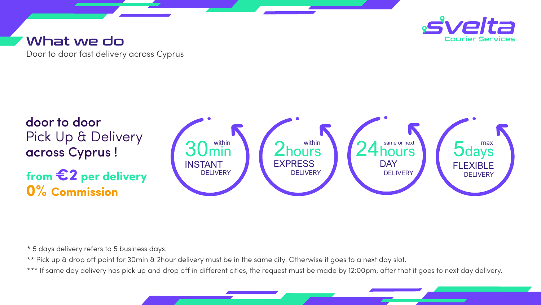Door to door fast delivery across Cyprus

#### What we do







\* 5 days delivery refers to 5 business days.

\*\* Pick up & drop off point for 30min & 2hour delivery must be in the same city. Otherwise it goes to a next day slot. \*\*\* If same day delivery has pick up and drop off in different cities, the request must be made by 12:00pm, after that it goes to next day delivery.



#### **from €2 per delivery 0% Commission**

# door to door Pick Up & Delivery across Cyprus !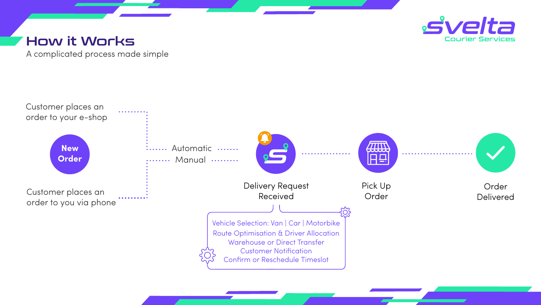A complicated process made simple

#### How it Works





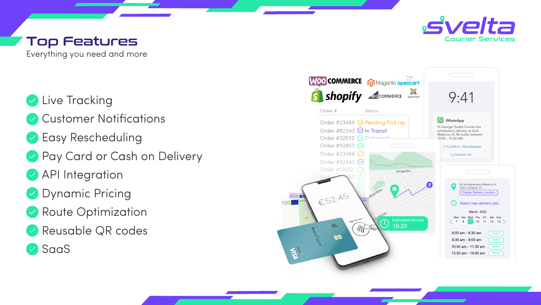Everything you need and more

### **V** Live Tracking

- **Customer Notifications**
- **Easy Rescheduling**
- Pay Card or Cash on Delivery
- API Integration
- **Dynamic Pricing**
- Route Optimization
- Reusable QR codes
- SaaS



# Top Features



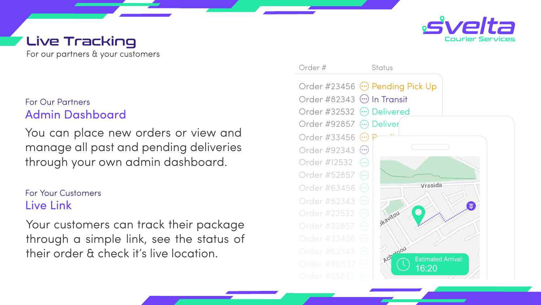For our partners & your customers

# Live Tracking

Your customers can track their package through a simple link, see the status of their order & check it's live location.



You can place new orders or view and manage all past and pending deliveries through your own admin dashboard.

#### Admin Dashboard For Our Partners

For Your Customers Live Link



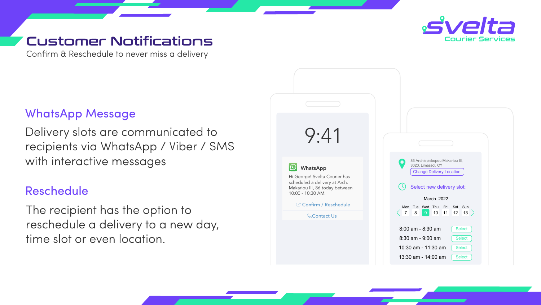Confirm & Reschedule to never miss a delivery

#### Customer Notifications

The recipient has the option to reschedule a delivery to a new day, time slot or even location.







Delivery slots are communicated to recipients via WhatsApp / Viber / SMS with interactive messages

#### WhatsApp Message

#### Reschedule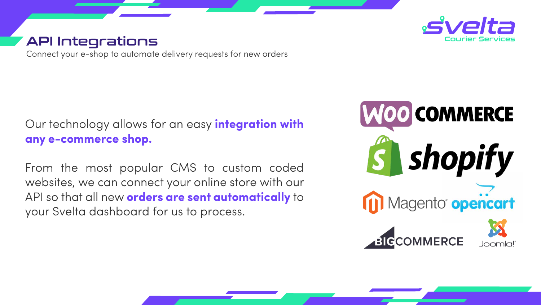Connect your e-shop to automate delivery requests for new orders

# API Integrations

#### Our technology allows for an easy **integration with any e-commerce shop.**

 From the most popular CMS to custom coded websites, we can connect your online store with our API so that all new **orders are sent automatically** to your Svelta dashboard for us to process.



# **MOO COMMERCE S** Shopify Magento<sup>®</sup> opencart







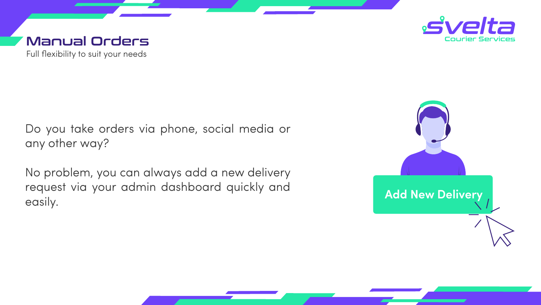#### Full flexibility to suit your needs Manual Orders

No problem, you can always add a new delivery request via your admin dashboard quickly and easily. **Add New Delivery** 







<u> 1989 - Johann Stein, Amerikaansk politiker (\* 1989), deur de Fryske kommunester (\* 1989), deur de Fryske kommun</u>

Do you take orders via phone, social media or any other way?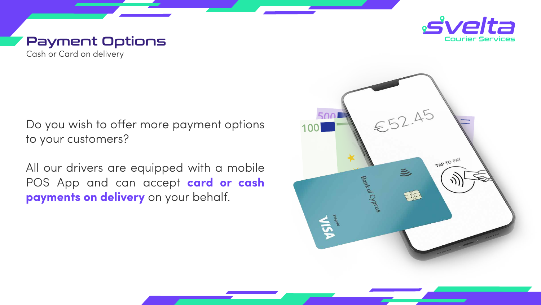



#### Cash or Card on delivery Payment Options

Do you wish to offer more payment options to your customers?

All our drivers are equipped with a mobile POS App and can accept **card or cash payments on delivery** on your behalf.

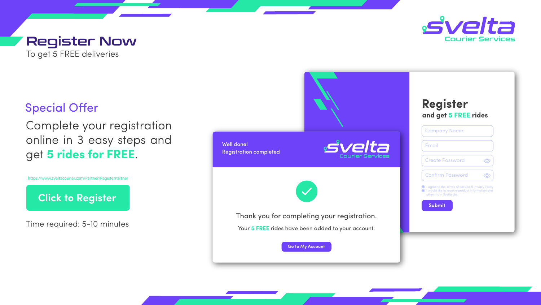Complete your registration online in 3 easy steps and get **5 rides for FREE**.

Time required: 5-10 minutes

To get 5 FREE deliveries

#### **Special Offer**

# Register Now

https://www.sveltacourier.com/Partner/RegisterPartner **httachturer/Click to Register https://www.sveltacourier.com/en/Partner/RegisterPartner**









https://www.sveltacourier.com/Partner/RegisterPartner